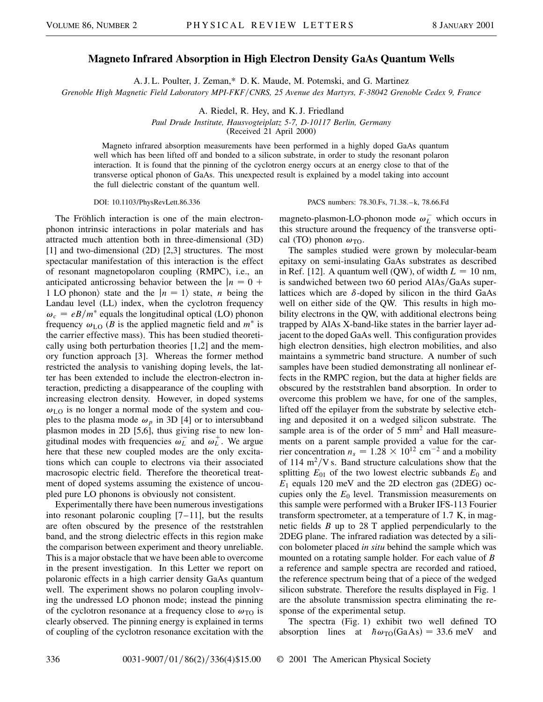## **Magneto Infrared Absorption in High Electron Density GaAs Quantum Wells**

A. J. L. Poulter, J. Zeman,\* D. K. Maude, M. Potemski, and G. Martinez

*Grenoble High Magnetic Field Laboratory MPI-FKFCNRS, 25 Avenue des Martyrs, F-38042 Grenoble Cedex 9, France*

A. Riedel, R. Hey, and K. J. Friedland

*Paul Drude Institute, Hausvogteiplatz 5-7, D-10117 Berlin, Germany*

(Received 21 April 2000)

Magneto infrared absorption measurements have been performed in a highly doped GaAs quantum well which has been lifted off and bonded to a silicon substrate, in order to study the resonant polaron interaction. It is found that the pinning of the cyclotron energy occurs at an energy close to that of the transverse optical phonon of GaAs. This unexpected result is explained by a model taking into account the full dielectric constant of the quantum well.

DOI: 10.1103/PhysRevLett.86.336 PACS numbers: 78.30.Fs, 71.38.–k, 78.66.Fd

The Fröhlich interaction is one of the main electronphonon intrinsic interactions in polar materials and has attracted much attention both in three-dimensional (3D) [1] and two-dimensional (2D) [2,3] structures. The most spectacular manifestation of this interaction is the effect of resonant magnetopolaron coupling (RMPC), i.e., an anticipated anticrossing behavior between the  $|n = 0 +$ 1 LO phonon) state and the  $|n = 1\rangle$  state, *n* being the Landau level (LL) index, when the cyclotron frequency  $\omega_c = eB/m^*$  equals the longitudinal optical (LO) phonon frequency  $\omega_{LO}$  (*B* is the applied magnetic field and  $m^*$  is the carrier effective mass). This has been studied theoretically using both perturbation theories [1,2] and the memory function approach [3]. Whereas the former method restricted the analysis to vanishing doping levels, the latter has been extended to include the electron-electron interaction, predicting a disappearance of the coupling with increasing electron density. However, in doped systems  $\omega_{\text{LO}}$  is no longer a normal mode of the system and couples to the plasma mode  $\omega_p$  in 3D [4] or to intersubband plasmon modes in 2D [5,6], thus giving rise to new longitudinal modes with frequencies  $\omega_L^-$  and  $\omega_L^+$ . We argue here that these new coupled modes are the only excitations which can couple to electrons via their associated macrosopic electric field. Therefore the theoretical treatment of doped systems assuming the existence of uncoupled pure LO phonons is obviously not consistent.

Experimentally there have been numerous investigations into resonant polaronic coupling  $[7-11]$ , but the results are often obscured by the presence of the reststrahlen band, and the strong dielectric effects in this region make the comparison between experiment and theory unreliable. This is a major obstacle that we have been able to overcome in the present investigation. In this Letter we report on polaronic effects in a high carrier density GaAs quantum well. The experiment shows no polaron coupling involving the undressed LO phonon mode; instead the pinning of the cyclotron resonance at a frequency close to  $\omega_{\text{TO}}$  is clearly observed. The pinning energy is explained in terms of coupling of the cyclotron resonance excitation with the

magneto-plasmon-LO-phonon mode  $\omega_L^-$  which occurs in this structure around the frequency of the transverse optical (TO) phonon  $\omega_{\text{TO}}$ .

The samples studied were grown by molecular-beam epitaxy on semi-insulating GaAs substrates as described in Ref. [12]. A quantum well (QW), of width  $L = 10$  nm, is sandwiched between two 60 period AlAs/GaAs superlattices which are  $\delta$ -doped by silicon in the third GaAs well on either side of the QW. This results in high mobility electrons in the QW, with additional electrons being trapped by AlAs X-band-like states in the barrier layer adjacent to the doped GaAs well. This configuration provides high electron densities, high electron mobilities, and also maintains a symmetric band structure. A number of such samples have been studied demonstrating all nonlinear effects in the RMPC region, but the data at higher fields are obscured by the reststrahlen band absorption. In order to overcome this problem we have, for one of the samples, lifted off the epilayer from the substrate by selective etching and deposited it on a wedged silicon substrate. The sample area is of the order of  $5 \text{ mm}^2$  and Hall measurements on a parent sample provided a value for the carrier concentration  $n_s = 1.28 \times 10^{12}$  cm<sup>-2</sup> and a mobility of 114  $\text{m}^2/\text{V}$  s. Band structure calculations show that the splitting  $E_{01}$  of the two lowest electric subbands  $E_0$  and *E*<sup>1</sup> equals 120 meV and the 2D electron gas (2DEG) occupies only the  $E_0$  level. Transmission measurements on this sample were performed with a Bruker IFS-113 Fourier transform spectrometer, at a temperature of 1.7 K, in magnetic fields *B* up to 28 T applied perpendicularly to the 2DEG plane. The infrared radiation was detected by a silicon bolometer placed *in situ* behind the sample which was mounted on a rotating sample holder. For each value of *B* a reference and sample spectra are recorded and ratioed, the reference spectrum being that of a piece of the wedged silicon substrate. Therefore the results displayed in Fig. 1 are the absolute transmission spectra eliminating the response of the experimental setup.

The spectra (Fig. 1) exhibit two well defined TO absorption lines at  $\hbar\omega_{\text{TO}}\text{(GaAs)} = 33.6 \text{ meV}$  and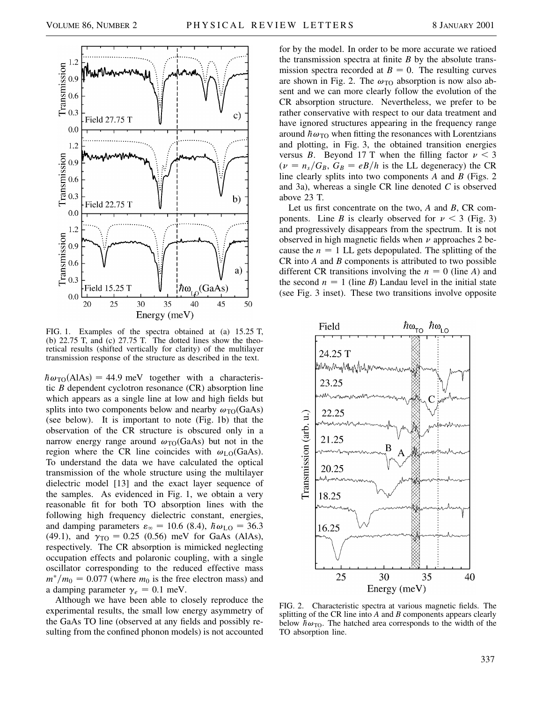

FIG. 1. Examples of the spectra obtained at (a) 15.25 T, (b) 22.75 T, and (c) 27.75 T. The dotted lines show the theoretical results (shifted vertically for clarity) of the multilayer transmission response of the structure as described in the text.

 $h\omega_{\text{TO}}(AIAs) = 44.9$  meV together with a characteristic *B* dependent cyclotron resonance (CR) absorption line which appears as a single line at low and high fields but splits into two components below and nearby  $\omega_{\text{TO}}$ (GaAs) (see below). It is important to note (Fig. 1b) that the observation of the CR structure is obscured only in a narrow energy range around  $\omega_{\text{TO}}$ (GaAs) but not in the region where the CR line coincides with  $\omega_{LO}$ (GaAs). To understand the data we have calculated the optical transmission of the whole structure using the multilayer dielectric model [13] and the exact layer sequence of the samples. As evidenced in Fig. 1, we obtain a very reasonable fit for both TO absorption lines with the following high frequency dielectric constant, energies, and damping parameters  $\varepsilon_{\infty} = 10.6$  (8.4),  $\hbar\omega_{\text{LO}} = 36.3$ (49.1), and  $\gamma_{\text{TO}} = 0.25$  (0.56) meV for GaAs (AlAs), respectively. The CR absorption is mimicked neglecting occupation effects and polaronic coupling, with a single oscillator corresponding to the reduced effective mass  $m^*/m_0 = 0.077$  (where  $m_0$  is the free electron mass) and a damping parameter  $\gamma_e = 0.1$  meV.

Although we have been able to closely reproduce the experimental results, the small low energy asymmetry of the GaAs TO line (observed at any fields and possibly resulting from the confined phonon models) is not accounted for by the model. In order to be more accurate we ratioed the transmission spectra at finite *B* by the absolute transmission spectra recorded at  $B = 0$ . The resulting curves are shown in Fig. 2. The  $\omega_{\text{TO}}$  absorption is now also absent and we can more clearly follow the evolution of the CR absorption structure. Nevertheless, we prefer to be rather conservative with respect to our data treatment and have ignored structures appearing in the frequency range around  $\hbar\omega_{\text{TO}}$  when fitting the resonances with Lorentzians and plotting, in Fig. 3, the obtained transition energies versus *B*. Beyond 17 T when the filling factor  $\nu < 3$  $(\nu = n_s/G_B, G_B = eB/h$  is the LL degeneracy) the CR line clearly splits into two components *A* and *B* (Figs. 2 and 3a), whereas a single CR line denoted *C* is observed above 23 T.

Let us first concentrate on the two, *A* and *B*, CR components. Line *B* is clearly observed for  $\nu < 3$  (Fig. 3) and progressively disappears from the spectrum. It is not observed in high magnetic fields when  $\nu$  approaches 2 because the  $n = 1$  LL gets depopulated. The splitting of the CR into *A* and *B* components is attributed to two possible different CR transitions involving the  $n = 0$  (line *A*) and the second  $n = 1$  (line *B*) Landau level in the initial state (see Fig. 3 inset). These two transitions involve opposite



FIG. 2. Characteristic spectra at various magnetic fields. The splitting of the CR line into *A* and *B* components appears clearly below  $h\omega_{\text{TO}}$ . The hatched area corresponds to the width of the TO absorption line.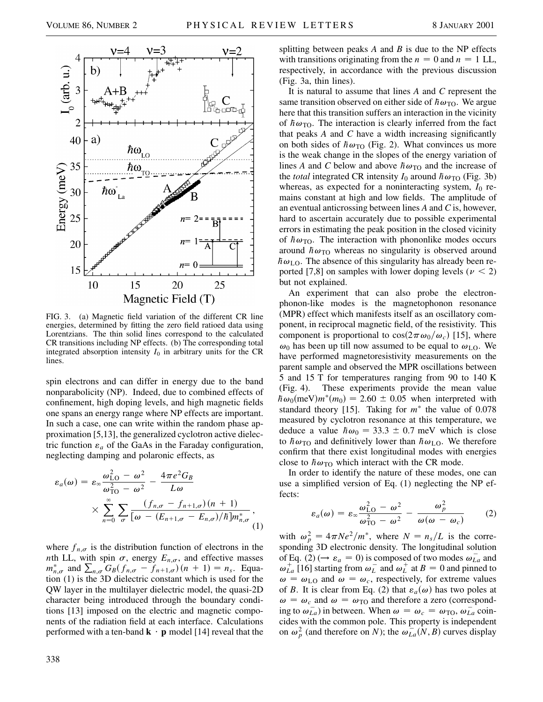

FIG. 3. (a) Magnetic field variation of the different CR line energies, determined by fitting the zero field ratioed data using Lorentzians. The thin solid lines correspond to the calculated CR transitions including NP effects. (b) The corresponding total integrated absorption intensity  $I_0$  in arbitrary units for the CR lines.

spin electrons and can differ in energy due to the band nonparabolicity (NP). Indeed, due to combined effects of confinement, high doping levels, and high magnetic fields one spans an energy range where NP effects are important. In such a case, one can write within the random phase approximation [5,13], the generalized cyclotron active dielectric function  $\varepsilon_a$  of the GaAs in the Faraday configuration, neglecting damping and polaronic effects, as

$$
\varepsilon_a(\omega) = \varepsilon_\infty \frac{\omega_{\text{LO}}^2 - \omega^2}{\omega_{\text{TO}}^2 - \omega^2} - \frac{4\pi e^2 G_B}{L\omega}
$$

$$
\times \sum_{n=0}^\infty \sum_{\sigma} \frac{(f_{n,\sigma} - f_{n+1,\sigma})(n+1)}{[\omega - (E_{n+1,\sigma} - E_{n,\sigma})/\hbar]m_{n,\sigma}^*},
$$
(1)

where  $f_{n,\sigma}$  is the distribution function of electrons in the *nth* LL, with spin  $\sigma$ , energy  $E_{n,\sigma}$ , and effective masses  $m_{n,\sigma}^*$  and  $\sum_{n,\sigma} G_B(f_{n,\sigma} - f_{n+1,\sigma})(n+1) = n_s$ . Equation (1) is the 3D dielectric constant which is used for the QW layer in the multilayer dielectric model, the quasi-2D character being introduced through the boundary conditions [13] imposed on the electric and magnetic components of the radiation field at each interface. Calculations performed with a ten-band  $\mathbf{k} \cdot \mathbf{p}$  model [14] reveal that the splitting between peaks *A* and *B* is due to the NP effects with transitions originating from the  $n = 0$  and  $n = 1$  LL, respectively, in accordance with the previous discussion (Fig. 3a, thin lines).

It is natural to assume that lines *A* and *C* represent the same transition observed on either side of  $h\omega_{\text{TO}}$ . We argue here that this transition suffers an interaction in the vicinity of  $h\omega_{\text{TO}}$ . The interaction is clearly inferred from the fact that peaks *A* and *C* have a width increasing significantly on both sides of  $\hbar\omega_{\text{TO}}$  (Fig. 2). What convinces us more is the weak change in the slopes of the energy variation of lines *A* and *C* below and above  $\hbar\omega_{\text{TO}}$  and the increase of the *total* integrated CR intensity  $I_0$  around  $\hbar \omega_{TO}$  (Fig. 3b) whereas, as expected for a noninteracting system,  $I_0$  remains constant at high and low fields. The amplitude of an eventual anticrossing between lines *A* and *C* is, however, hard to ascertain accurately due to possible experimental errors in estimating the peak position in the closed vicinity of  $h\omega_{\text{TO}}$ . The interaction with phononlike modes occurs around  $\hbar\omega_{\text{TO}}$  whereas no singularity is observed around  $h\omega_{\text{LO}}$ . The absence of this singularity has already been reported [7,8] on samples with lower doping levels ( $\nu < 2$ ) but not explained.

An experiment that can also probe the electronphonon-like modes is the magnetophonon resonance (MPR) effect which manifests itself as an oscillatory component, in reciprocal magnetic field, of the resistivity. This component is proportional to  $\cos(2\pi\omega_0/\omega_c)$  [15], where  $\omega_0$  has been up till now assumed to be equal to  $\omega_{LO}$ . We have performed magnetoresistivity measurements on the parent sample and observed the MPR oscillations between 5 and 15 T for temperatures ranging from 90 to 140 K (Fig. 4). These experiments provide the mean value  $h\omega_0$ (meV) $m^*(m_0) = 2.60 \pm 0.05$  when interpreted with standard theory [15]. Taking for  $m^*$  the value of 0.078 measured by cyclotron resonance at this temperature, we deduce a value  $\hbar\omega_0 = 33.3 \pm 0.7$  meV which is close to  $\hbar\omega_{\text{TO}}$  and definitively lower than  $\hbar\omega_{\text{LO}}$ . We therefore confirm that there exist longitudinal modes with energies close to  $\hbar\omega_{\text{TO}}$  which interact with the CR mode.

In order to identify the nature of these modes, one can use a simplified version of Eq. (1) neglecting the NP effects:

$$
\varepsilon_a(\omega) = \varepsilon_\infty \frac{\omega_{\text{LO}}^2 - \omega^2}{\omega_{\text{TO}}^2 - \omega^2} - \frac{\omega_p^2}{\omega(\omega - \omega_c)}
$$
(2)

with  $\omega_p^2 = 4\pi Ne^2/m^*$ , where  $N = n_s/L$  is the corresponding 3D electronic density. The longitudinal solution of Eq. (2) ( $\rightarrow \varepsilon_a = 0$ ) is composed of two modes  $\omega_{La}^-$  and  $\omega_{La}^{+}$  [16] starting from  $\omega_{L}^{-}$  and  $\omega_{L}^{+}$  at  $B = 0$  and pinned to  $\omega = \omega_{\text{LO}}$  and  $\omega = \omega_c$ , respectively, for extreme values of *B*. It is clear from Eq. (2) that  $\varepsilon_a(\omega)$  has two poles at  $\omega = \omega_c$  and  $\omega = \omega_{\text{TO}}$  and therefore a zero (corresponding to  $\omega_{La}^-$ ) in between. When  $\omega = \omega_c = \omega_{\text{TO}}$ ,  $\omega_{La}^-$  coincides with the common pole. This property is independent on  $\omega_p^2$  (and therefore on *N*); the  $\omega_{La}^-(N, B)$  curves display